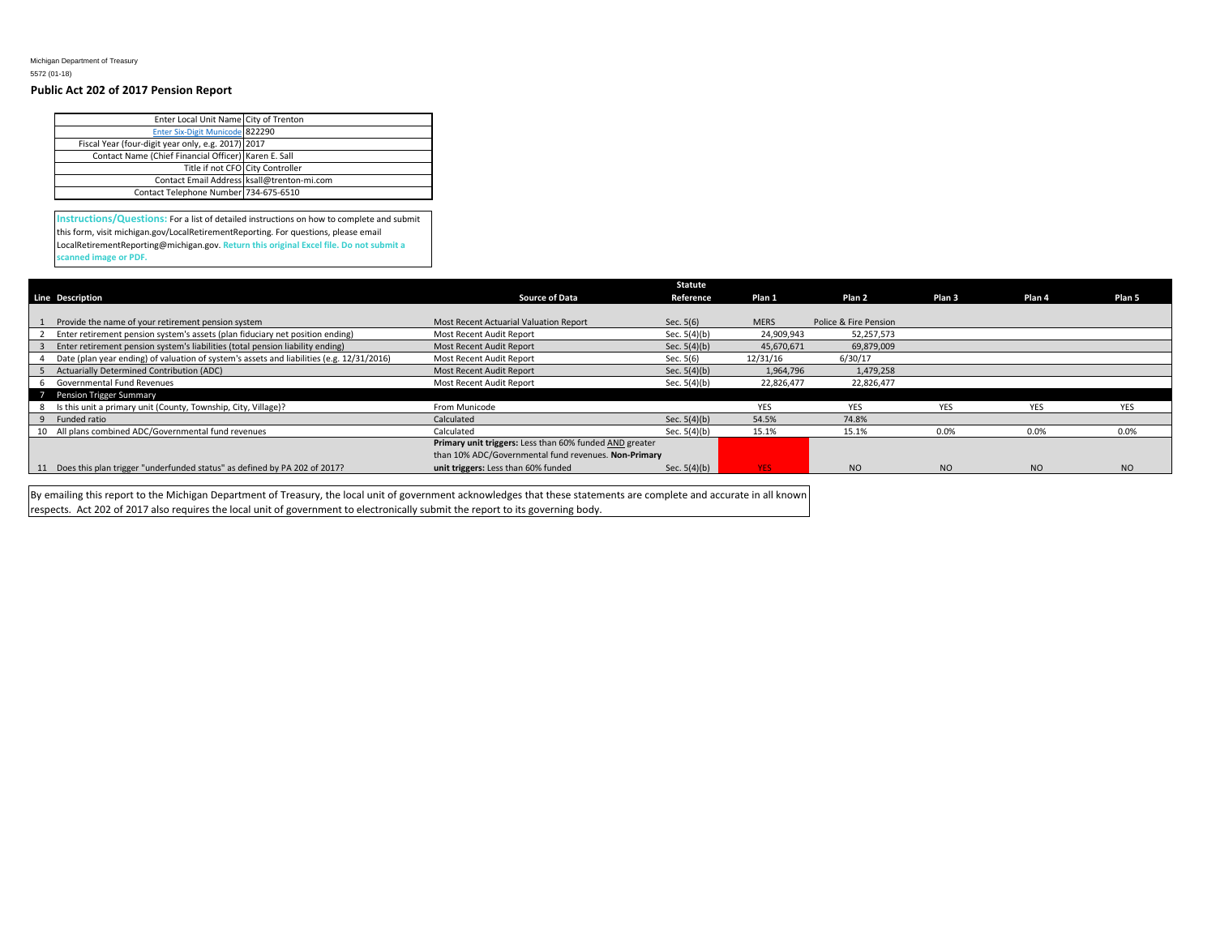Michigan Department of Treasury 5572 (01-18)

## **Public Act 202 of 2017 Pension Report**

| Enter Local Unit Name City of Trenton                |                                            |
|------------------------------------------------------|--------------------------------------------|
| Enter Six-Digit Municode 822290                      |                                            |
| Fiscal Year (four-digit year only, e.g. 2017) 2017   |                                            |
| Contact Name (Chief Financial Officer) Karen E. Sall |                                            |
|                                                      | Title if not CFO City Controller           |
|                                                      | Contact Email Address ksall@trenton-mi.com |
| Contact Telephone Number 734-675-6510                |                                            |

**Instructions/Questions:** For a list of detailed instructions on how to complete and submit this form, visit michigan.gov/LocalRetirementReporting. For questions, please email LocalRetirementReporting@michigan.gov. **Return this original Excel file. Do not submit a scanned image or PDF.**

|                                                                                           |                                                         | <b>Statute</b> |             |                       |                   |            |            |
|-------------------------------------------------------------------------------------------|---------------------------------------------------------|----------------|-------------|-----------------------|-------------------|------------|------------|
| <b>Line Description</b>                                                                   | <b>Source of Data</b>                                   | Reference      | Plan 1      | Plan 2                | Plan <sub>3</sub> | Plan 4     | Plan 5     |
|                                                                                           |                                                         |                |             |                       |                   |            |            |
| Provide the name of your retirement pension system                                        | Most Recent Actuarial Valuation Report                  | Sec. $5(6)$    | <b>MERS</b> | Police & Fire Pension |                   |            |            |
| Enter retirement pension system's assets (plan fiduciary net position ending)             | Most Recent Audit Report                                | Sec. 5(4)(b)   | 24,909,943  | 52,257,573            |                   |            |            |
| Enter retirement pension system's liabilities (total pension liability ending)            | Most Recent Audit Report                                | Sec. $5(4)(b)$ | 45,670,671  | 69,879,009            |                   |            |            |
| Date (plan year ending) of valuation of system's assets and liabilities (e.g. 12/31/2016) | Most Recent Audit Report                                | Sec. 5(6)      | 12/31/16    | 6/30/17               |                   |            |            |
| 5 Actuarially Determined Contribution (ADC)                                               | Most Recent Audit Report                                | Sec. $5(4)(b)$ | 1,964,796   | 1,479,258             |                   |            |            |
| Governmental Fund Revenues<br>6                                                           | Most Recent Audit Report                                | Sec. $5(4)(b)$ | 22,826,477  | 22,826,477            |                   |            |            |
| 7 Pension Trigger Summary                                                                 |                                                         |                |             |                       |                   |            |            |
| 8 Is this unit a primary unit (County, Township, City, Village)?                          | From Municode                                           |                | <b>YES</b>  | <b>YES</b>            | <b>YES</b>        | <b>YES</b> | <b>YES</b> |
| 9 Funded ratio                                                                            | Calculated                                              | Sec. $5(4)(b)$ | 54.5%       | 74.8%                 |                   |            |            |
| 10 All plans combined ADC/Governmental fund revenues                                      | Calculated                                              | Sec. $5(4)(b)$ | 15.1%       | 15.1%                 | 0.0%              | 0.0%       | 0.0%       |
|                                                                                           | Primary unit triggers: Less than 60% funded AND greater |                |             |                       |                   |            |            |
|                                                                                           | than 10% ADC/Governmental fund revenues. Non-Primary    |                |             |                       |                   |            |            |
| 11 Does this plan trigger "underfunded status" as defined by PA 202 of 2017?              | unit triggers: Less than 60% funded                     | Sec. $5(4)(b)$ | <b>YES</b>  | N <sub>O</sub>        | NO                | <b>NO</b>  | <b>NO</b>  |

By emailing this report to the Michigan Department of Treasury, the local unit of government acknowledges that these statements are complete and accurate in all known respects. Act 202 of 2017 also requires the local unit of government to electronically submit the report to its governing body.